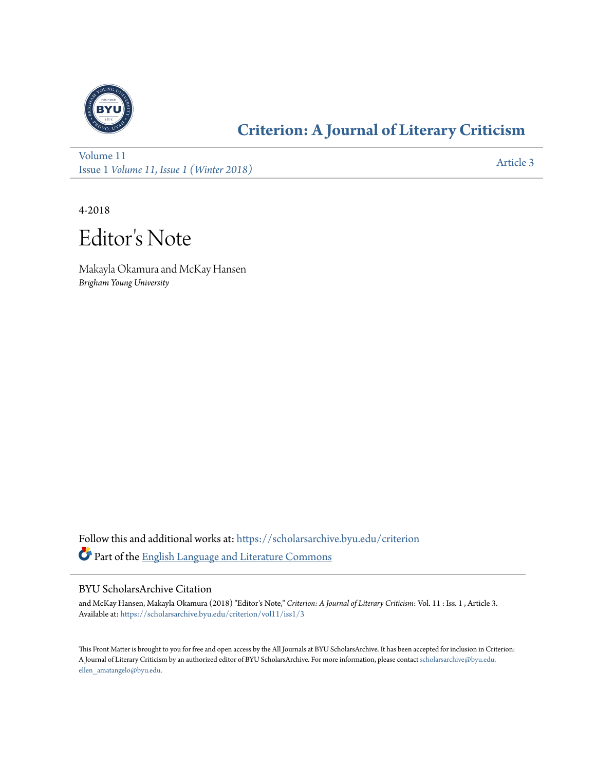

## **[Criterion: A Journal of Literary Criticism](https://scholarsarchive.byu.edu/criterion?utm_source=scholarsarchive.byu.edu%2Fcriterion%2Fvol11%2Fiss1%2F3&utm_medium=PDF&utm_campaign=PDFCoverPages)**

[Volume 11](https://scholarsarchive.byu.edu/criterion/vol11?utm_source=scholarsarchive.byu.edu%2Fcriterion%2Fvol11%2Fiss1%2F3&utm_medium=PDF&utm_campaign=PDFCoverPages) Issue 1 *[Volume 11, Issue 1 \(Winter 2018\)](https://scholarsarchive.byu.edu/criterion/vol11/iss1?utm_source=scholarsarchive.byu.edu%2Fcriterion%2Fvol11%2Fiss1%2F3&utm_medium=PDF&utm_campaign=PDFCoverPages)* [Article 3](https://scholarsarchive.byu.edu/criterion/vol11/iss1/3?utm_source=scholarsarchive.byu.edu%2Fcriterion%2Fvol11%2Fiss1%2F3&utm_medium=PDF&utm_campaign=PDFCoverPages)

4-2018

Editor 's Note

Makayla Okamura and McKay Hansen *Brigham Young University*

Follow this and additional works at: [https://scholarsarchive.byu.edu/criterion](https://scholarsarchive.byu.edu/criterion?utm_source=scholarsarchive.byu.edu%2Fcriterion%2Fvol11%2Fiss1%2F3&utm_medium=PDF&utm_campaign=PDFCoverPages) Part of the [English Language and Literature Commons](http://network.bepress.com/hgg/discipline/455?utm_source=scholarsarchive.byu.edu%2Fcriterion%2Fvol11%2Fiss1%2F3&utm_medium=PDF&utm_campaign=PDFCoverPages)

## BYU ScholarsArchive Citation

and McKay Hansen, Makayla Okamura (2018) "Editor's Note," *Criterion: A Journal of Literary Criticism*: Vol. 11 : Iss. 1 , Article 3. Available at: [https://scholarsarchive.byu.edu/criterion/vol11/iss1/3](https://scholarsarchive.byu.edu/criterion/vol11/iss1/3?utm_source=scholarsarchive.byu.edu%2Fcriterion%2Fvol11%2Fiss1%2F3&utm_medium=PDF&utm_campaign=PDFCoverPages)

This Front Matter is brought to you for free and open access by the All Journals at BYU ScholarsArchive. It has been accepted for inclusion in Criterion: A Journal of Literary Criticism by an authorized editor of BYU ScholarsArchive. For more information, please contact [scholarsarchive@byu.edu,](mailto:scholarsarchive@byu.edu,%20ellen_amatangelo@byu.edu) [ellen\\_amatangelo@byu.edu.](mailto:scholarsarchive@byu.edu,%20ellen_amatangelo@byu.edu)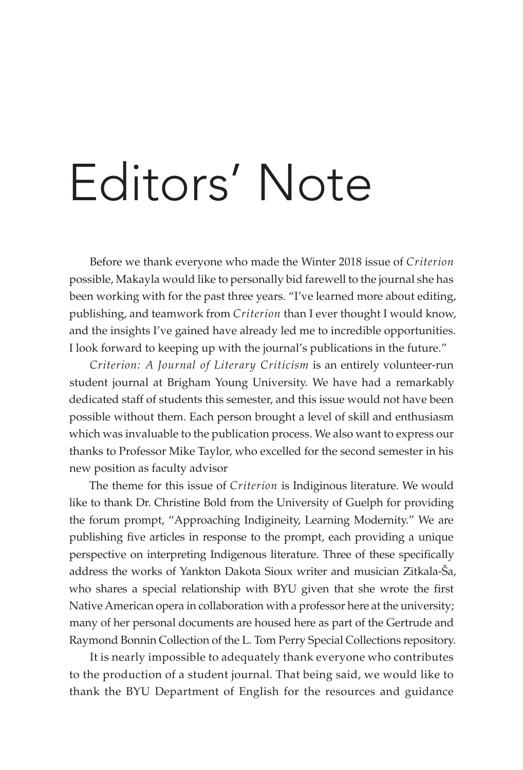## Editors' Note

Before we thank everyone who made the Winter 2018 issue of *Criterion* possible, Makayla would like to personally bid farewell to the journal she has been working with for the past three years. "I've learned more about editing, publishing, and teamwork from *Criterion* than I ever thought I would know, and the insights I've gained have already led me to incredible opportunities. I look forward to keeping up with the journal's publications in the future."

*Criterion: A Journal of Literary Criticism* is an entirely volunteer-run student journal at Brigham Young University. We have had a remarkably dedicated staff of students this semester, and this issue would not have been possible without them. Each person brought a level of skill and enthusiasm which was invaluable to the publication process. We also want to express our thanks to Professor Mike Taylor, who excelled for the second semester in his new position as faculty advisor

The theme for this issue of *Criterion* is Indiginous literature. We would like to thank Dr. Christine Bold from the University of Guelph for providing the forum prompt, "Approaching Indigineity, Learning Modernity." We are publishing five articles in response to the prompt, each providing a unique perspective on interpreting Indigenous literature. Three of these specifically address the works of Yankton Dakota Sioux writer and musician Zitkala-Ša, who shares a special relationship with BYU given that she wrote the first Native American opera in collaboration with a professor here at the university; many of her personal documents are housed here as part of the Gertrude and Raymond Bonnin Collection of the L. Tom Perry Special Collections repository.

It is nearly impossible to adequately thank everyone who contributes to the production of a student journal. That being said, we would like to thank the BYU Department of English for the resources and guidance